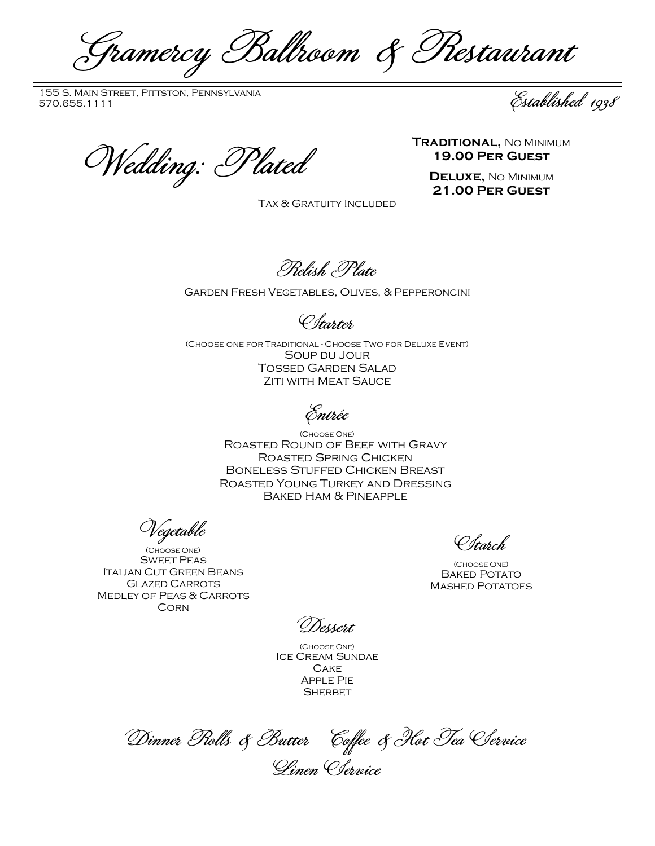Gramercy Ballroom & Restaurant

155 S. Main Street, Pittston, Pennsylvania 155 S. Main Street, Pittston, Pennsylvania<br>570.655.1111 Established 1938

TRADITIONAL, NO MINIMUM<br>19.00 PER GUEST<br>DELUXE, NO MINIMUM

Tax & Gratuity Included

**19.00 Per Guest**

**Deluxe,** No Minimum **21.00 Per Guest**

Relish Plate

## Garden Fresh Vegetables, Olives, & Pepperoncini

Starter

(Choose one for Traditional - Choose Two for Deluxe Event) Soup du Jour Tossed Garden Salad **ZITI WITH MEAT SAUCE** 

Entrée

(Choose One) Roasted Round of Beef with Gravy Roasted Spring Chicken Boneless Stuffed Chicken Breast Roasted Young Turkey and Dressing Baked Ham & Pineapple

Vegetable

(Choose One) Sweet Peas Italian Cut Green Beans Glazed Carrots Medley of Peas & Carrots **CORN** 

Starch

(Choose One) **BAKED POTATO** Mashed Potatoes

Dessert

(Choose One) Ice Cream Sundae **CAKE** Apple Pie **SHERBET** 

Dinner Rolls & Butter - Coffee & Hot Tea Service Linen Service